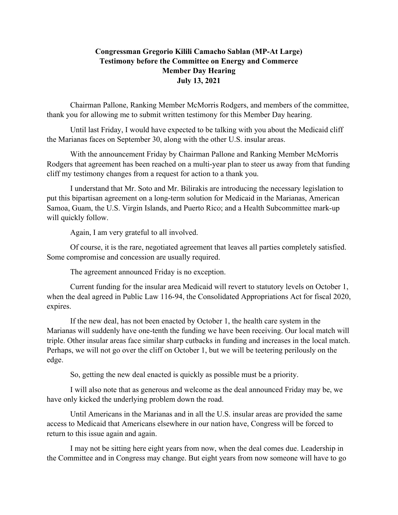## **Congressman Gregorio Kilili Camacho Sablan (MP-At Large) Testimony before the Committee on Energy and Commerce Member Day Hearing July 13, 2021**

Chairman Pallone, Ranking Member McMorris Rodgers, and members of the committee, thank you for allowing me to submit written testimony for this Member Day hearing.

Until last Friday, I would have expected to be talking with you about the Medicaid cliff the Marianas faces on September 30, along with the other U.S. insular areas.

With the announcement Friday by Chairman Pallone and Ranking Member McMorris Rodgers that agreement has been reached on a multi-year plan to steer us away from that funding cliff my testimony changes from a request for action to a thank you.

I understand that Mr. Soto and Mr. Bilirakis are introducing the necessary legislation to put this bipartisan agreement on a long-term solution for Medicaid in the Marianas, American Samoa, Guam, the U.S. Virgin Islands, and Puerto Rico; and a Health Subcommittee mark-up will quickly follow.

Again, I am very grateful to all involved.

Of course, it is the rare, negotiated agreement that leaves all parties completely satisfied. Some compromise and concession are usually required.

The agreement announced Friday is no exception.

Current funding for the insular area Medicaid will revert to statutory levels on October 1, when the deal agreed in Public Law 116-94, the Consolidated Appropriations Act for fiscal 2020, expires.

If the new deal, has not been enacted by October 1, the health care system in the Marianas will suddenly have one-tenth the funding we have been receiving. Our local match will triple. Other insular areas face similar sharp cutbacks in funding and increases in the local match. Perhaps, we will not go over the cliff on October 1, but we will be teetering perilously on the edge.

So, getting the new deal enacted is quickly as possible must be a priority.

I will also note that as generous and welcome as the deal announced Friday may be, we have only kicked the underlying problem down the road.

Until Americans in the Marianas and in all the U.S. insular areas are provided the same access to Medicaid that Americans elsewhere in our nation have, Congress will be forced to return to this issue again and again.

I may not be sitting here eight years from now, when the deal comes due. Leadership in the Committee and in Congress may change. But eight years from now someone will have to go